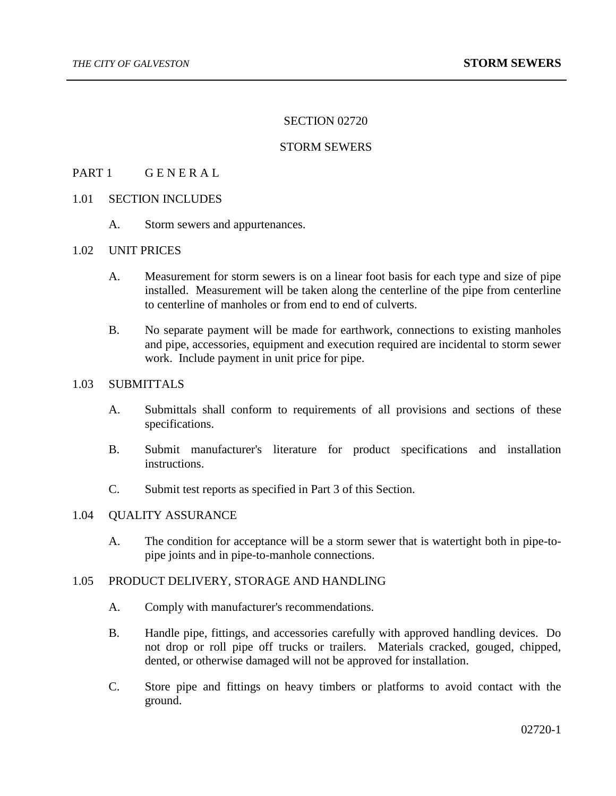#### SECTION 02720

### STORM SEWERS

# PART 1 GENERAL

## 1.01 SECTION INCLUDES

A. Storm sewers and appurtenances.

# 1.02 UNIT PRICES

- A. Measurement for storm sewers is on a linear foot basis for each type and size of pipe installed. Measurement will be taken along the centerline of the pipe from centerline to centerline of manholes or from end to end of culverts.
- B. No separate payment will be made for earthwork, connections to existing manholes and pipe, accessories, equipment and execution required are incidental to storm sewer work. Include payment in unit price for pipe.

# 1.03 SUBMITTALS

- A. Submittals shall conform to requirements of all provisions and sections of these specifications.
- B. Submit manufacturer's literature for product specifications and installation instructions.
- C. Submit test reports as specified in Part 3 of this Section.

### 1.04 QUALITY ASSURANCE

A. The condition for acceptance will be a storm sewer that is watertight both in pipe-topipe joints and in pipe-to-manhole connections.

#### 1.05 PRODUCT DELIVERY, STORAGE AND HANDLING

- A. Comply with manufacturer's recommendations.
- B. Handle pipe, fittings, and accessories carefully with approved handling devices. Do not drop or roll pipe off trucks or trailers. Materials cracked, gouged, chipped, dented, or otherwise damaged will not be approved for installation.
- C. Store pipe and fittings on heavy timbers or platforms to avoid contact with the ground.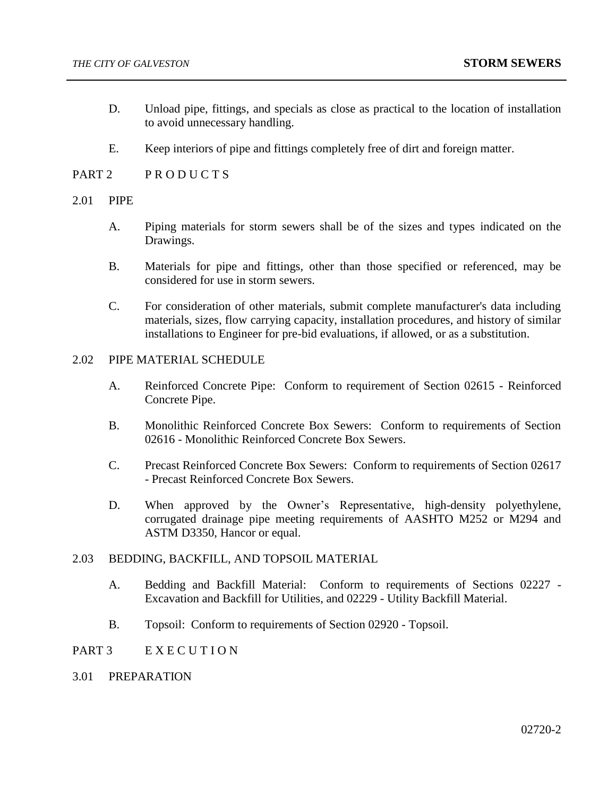- D. Unload pipe, fittings, and specials as close as practical to the location of installation to avoid unnecessary handling.
- E. Keep interiors of pipe and fittings completely free of dirt and foreign matter.
- PART 2 PRODUCTS

#### 2.01 PIPE

- A. Piping materials for storm sewers shall be of the sizes and types indicated on the Drawings.
- B. Materials for pipe and fittings, other than those specified or referenced, may be considered for use in storm sewers.
- C. For consideration of other materials, submit complete manufacturer's data including materials, sizes, flow carrying capacity, installation procedures, and history of similar installations to Engineer for pre-bid evaluations, if allowed, or as a substitution.

#### 2.02 PIPE MATERIAL SCHEDULE

- A. Reinforced Concrete Pipe: Conform to requirement of Section 02615 Reinforced Concrete Pipe.
- B. Monolithic Reinforced Concrete Box Sewers: Conform to requirements of Section 02616 - Monolithic Reinforced Concrete Box Sewers.
- C. Precast Reinforced Concrete Box Sewers: Conform to requirements of Section 02617 - Precast Reinforced Concrete Box Sewers.
- D. When approved by the Owner's Representative, high-density polyethylene, corrugated drainage pipe meeting requirements of AASHTO M252 or M294 and ASTM D3350, Hancor or equal.

## 2.03 BEDDING, BACKFILL, AND TOPSOIL MATERIAL

- A. Bedding and Backfill Material: Conform to requirements of Sections 02227 Excavation and Backfill for Utilities, and 02229 - Utility Backfill Material.
- B. Topsoil: Conform to requirements of Section 02920 Topsoil.

#### PART 3 EXECUTION

# 3.01 PREPARATION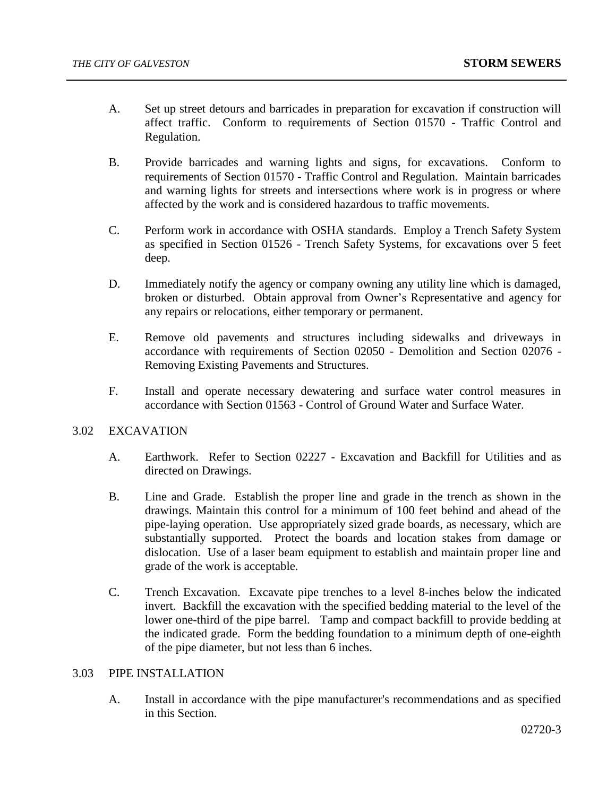- A. Set up street detours and barricades in preparation for excavation if construction will affect traffic. Conform to requirements of Section 01570 - Traffic Control and Regulation.
- B. Provide barricades and warning lights and signs, for excavations. Conform to requirements of Section 01570 - Traffic Control and Regulation. Maintain barricades and warning lights for streets and intersections where work is in progress or where affected by the work and is considered hazardous to traffic movements.
- C. Perform work in accordance with OSHA standards. Employ a Trench Safety System as specified in Section 01526 - Trench Safety Systems, for excavations over 5 feet deep.
- D. Immediately notify the agency or company owning any utility line which is damaged, broken or disturbed. Obtain approval from Owner's Representative and agency for any repairs or relocations, either temporary or permanent.
- E. Remove old pavements and structures including sidewalks and driveways in accordance with requirements of Section 02050 - Demolition and Section 02076 - Removing Existing Pavements and Structures.
- F. Install and operate necessary dewatering and surface water control measures in accordance with Section 01563 - Control of Ground Water and Surface Water.

### 3.02 EXCAVATION

- A. Earthwork. Refer to Section 02227 Excavation and Backfill for Utilities and as directed on Drawings.
- B. Line and Grade. Establish the proper line and grade in the trench as shown in the drawings. Maintain this control for a minimum of 100 feet behind and ahead of the pipe-laying operation. Use appropriately sized grade boards, as necessary, which are substantially supported. Protect the boards and location stakes from damage or dislocation. Use of a laser beam equipment to establish and maintain proper line and grade of the work is acceptable.
- C. Trench Excavation. Excavate pipe trenches to a level 8-inches below the indicated invert. Backfill the excavation with the specified bedding material to the level of the lower one-third of the pipe barrel. Tamp and compact backfill to provide bedding at the indicated grade. Form the bedding foundation to a minimum depth of one-eighth of the pipe diameter, but not less than 6 inches.

#### 3.03 PIPE INSTALLATION

A. Install in accordance with the pipe manufacturer's recommendations and as specified in this Section.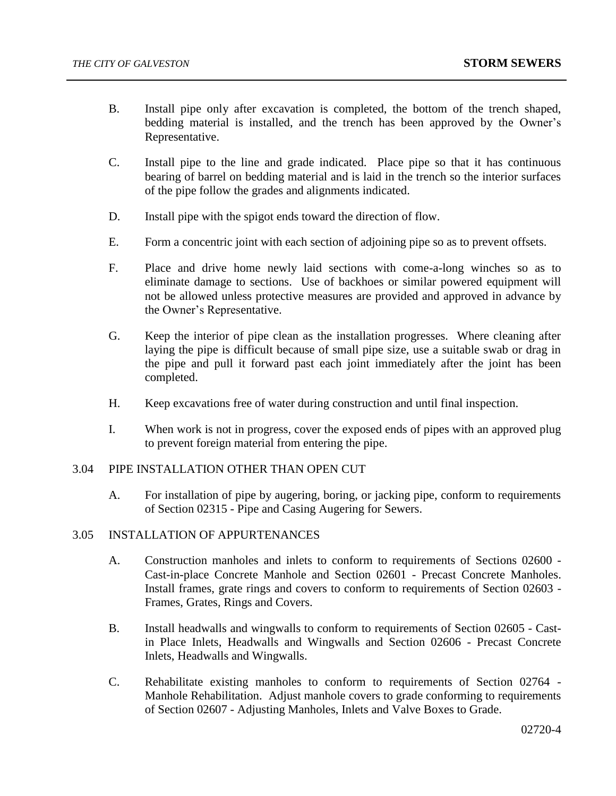- B. Install pipe only after excavation is completed, the bottom of the trench shaped, bedding material is installed, and the trench has been approved by the Owner's Representative.
- C. Install pipe to the line and grade indicated. Place pipe so that it has continuous bearing of barrel on bedding material and is laid in the trench so the interior surfaces of the pipe follow the grades and alignments indicated.
- D. Install pipe with the spigot ends toward the direction of flow.
- E. Form a concentric joint with each section of adjoining pipe so as to prevent offsets.
- F. Place and drive home newly laid sections with come-a-long winches so as to eliminate damage to sections. Use of backhoes or similar powered equipment will not be allowed unless protective measures are provided and approved in advance by the Owner's Representative.
- G. Keep the interior of pipe clean as the installation progresses. Where cleaning after laying the pipe is difficult because of small pipe size, use a suitable swab or drag in the pipe and pull it forward past each joint immediately after the joint has been completed.
- H. Keep excavations free of water during construction and until final inspection.
- I. When work is not in progress, cover the exposed ends of pipes with an approved plug to prevent foreign material from entering the pipe.

#### 3.04 PIPE INSTALLATION OTHER THAN OPEN CUT

A. For installation of pipe by augering, boring, or jacking pipe, conform to requirements of Section 02315 - Pipe and Casing Augering for Sewers.

#### 3.05 INSTALLATION OF APPURTENANCES

- A. Construction manholes and inlets to conform to requirements of Sections 02600 Cast-in-place Concrete Manhole and Section 02601 - Precast Concrete Manholes. Install frames, grate rings and covers to conform to requirements of Section 02603 - Frames, Grates, Rings and Covers.
- B. Install headwalls and wingwalls to conform to requirements of Section 02605 Castin Place Inlets, Headwalls and Wingwalls and Section 02606 - Precast Concrete Inlets, Headwalls and Wingwalls.
- C. Rehabilitate existing manholes to conform to requirements of Section 02764 Manhole Rehabilitation. Adjust manhole covers to grade conforming to requirements of Section 02607 - Adjusting Manholes, Inlets and Valve Boxes to Grade.